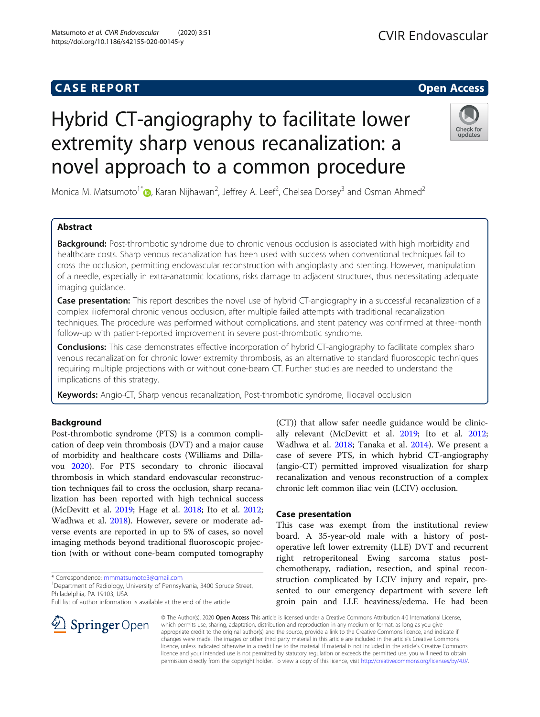# **CASE REPORT And SERVICE SERVICE SERVICE SERVICE SERVICE SERVICE SERVICE SERVICE SERVICE SERVICE SERVICE SERVICE**

# Hybrid CT-angiography to facilitate lower extremity sharp venous recanalization: a novel approach to a common procedure



Monica M. Matsumoto<sup>1\*</sup> $\bullet$ [,](http://orcid.org/0000-0001-6933-8729) Karan Nijhawan<sup>2</sup>, Jeffrey A. Leef<sup>2</sup>, Chelsea Dorsey<sup>3</sup> and Osman Ahmed<sup>2</sup>

# Abstract

Background: Post-thrombotic syndrome due to chronic venous occlusion is associated with high morbidity and healthcare costs. Sharp venous recanalization has been used with success when conventional techniques fail to cross the occlusion, permitting endovascular reconstruction with angioplasty and stenting. However, manipulation of a needle, especially in extra-anatomic locations, risks damage to adjacent structures, thus necessitating adequate imaging guidance.

Case presentation: This report describes the novel use of hybrid CT-angiography in a successful recanalization of a complex iliofemoral chronic venous occlusion, after multiple failed attempts with traditional recanalization techniques. The procedure was performed without complications, and stent patency was confirmed at three-month follow-up with patient-reported improvement in severe post-thrombotic syndrome.

**Conclusions:** This case demonstrates effective incorporation of hybrid CT-angiography to facilitate complex sharp venous recanalization for chronic lower extremity thrombosis, as an alternative to standard fluoroscopic techniques requiring multiple projections with or without cone-beam CT. Further studies are needed to understand the implications of this strategy.

Keywords: Angio-CT, Sharp venous recanalization, Post-thrombotic syndrome, Iliocaval occlusion

# Background

Post-thrombotic syndrome (PTS) is a common complication of deep vein thrombosis (DVT) and a major cause of morbidity and healthcare costs (Williams and Dillavou [2020](#page-3-0)). For PTS secondary to chronic iliocaval thrombosis in which standard endovascular reconstruction techniques fail to cross the occlusion, sharp recanalization has been reported with high technical success (McDevitt et al. [2019;](#page-3-0) Hage et al. [2018](#page-3-0); Ito et al. [2012](#page-3-0); Wadhwa et al. [2018\)](#page-3-0). However, severe or moderate adverse events are reported in up to 5% of cases, so novel imaging methods beyond traditional fluoroscopic projection (with or without cone-beam computed tomography

\* Correspondence: [mmmatsumoto3@gmail.com](mailto:mmmatsumoto3@gmail.com) <sup>1</sup>

SpringerOpen

<sup>1</sup> Department of Radiology, University of Pennsylvania, 3400 Spruce Street, Philadelphia, PA 19103, USA

Full list of author information is available at the end of the article



# Case presentation

This case was exempt from the institutional review board. A 35-year-old male with a history of postoperative left lower extremity (LLE) DVT and recurrent right retroperitoneal Ewing sarcoma status postchemotherapy, radiation, resection, and spinal reconstruction complicated by LCIV injury and repair, presented to our emergency department with severe left groin pain and LLE heaviness/edema. He had been

© The Author(s). 2020 Open Access This article is licensed under a Creative Commons Attribution 4.0 International License, which permits use, sharing, adaptation, distribution and reproduction in any medium or format, as long as you give appropriate credit to the original author(s) and the source, provide a link to the Creative Commons licence, and indicate if changes were made. The images or other third party material in this article are included in the article's Creative Commons licence, unless indicated otherwise in a credit line to the material. If material is not included in the article's Creative Commons licence and your intended use is not permitted by statutory regulation or exceeds the permitted use, you will need to obtain permission directly from the copyright holder. To view a copy of this licence, visit <http://creativecommons.org/licenses/by/4.0/>.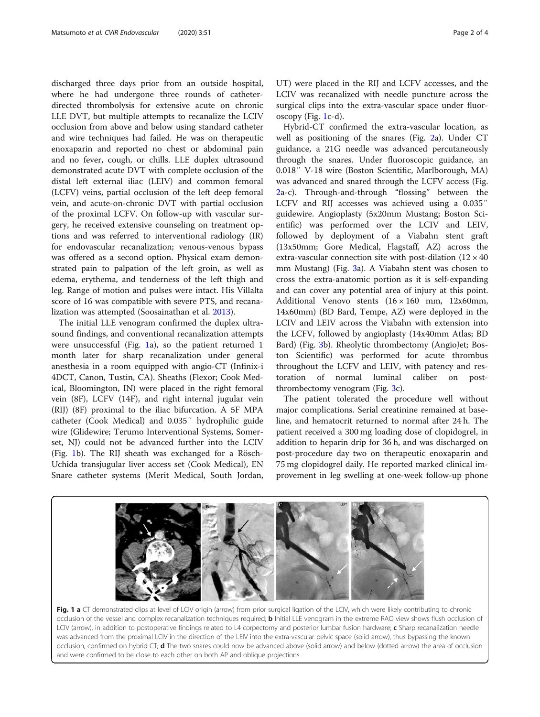discharged three days prior from an outside hospital, where he had undergone three rounds of catheterdirected thrombolysis for extensive acute on chronic LLE DVT, but multiple attempts to recanalize the LCIV occlusion from above and below using standard catheter and wire techniques had failed. He was on therapeutic enoxaparin and reported no chest or abdominal pain and no fever, cough, or chills. LLE duplex ultrasound demonstrated acute DVT with complete occlusion of the distal left external iliac (LEIV) and common femoral (LCFV) veins, partial occlusion of the left deep femoral vein, and acute-on-chronic DVT with partial occlusion of the proximal LCFV. On follow-up with vascular surgery, he received extensive counseling on treatment options and was referred to interventional radiology (IR) for endovascular recanalization; venous-venous bypass was offered as a second option. Physical exam demonstrated pain to palpation of the left groin, as well as edema, erythema, and tenderness of the left thigh and leg. Range of motion and pulses were intact. His Villalta score of 16 was compatible with severe PTS, and recanalization was attempted (Soosainathan et al. [2013](#page-3-0)).

The initial LLE venogram confirmed the duplex ultrasound findings, and conventional recanalization attempts were unsuccessful (Fig. 1a), so the patient returned 1 month later for sharp recanalization under general anesthesia in a room equipped with angio-CT (Infinix-i 4DCT, Canon, Tustin, CA). Sheaths (Flexor; Cook Medical, Bloomington, IN) were placed in the right femoral vein (8F), LCFV (14F), and right internal jugular vein (RIJ) (8F) proximal to the iliac bifurcation. A 5F MPA catheter (Cook Medical) and 0.035″ hydrophilic guide wire (Glidewire; Terumo Interventional Systems, Somerset, NJ) could not be advanced further into the LCIV (Fig. 1b). The RIJ sheath was exchanged for a Rösch-Uchida transjugular liver access set (Cook Medical), EN Snare catheter systems (Merit Medical, South Jordan,

UT) were placed in the RIJ and LCFV accesses, and the LCIV was recanalized with needle puncture across the surgical clips into the extra-vascular space under fluoroscopy (Fig. 1c-d).

Hybrid-CT confirmed the extra-vascular location, as well as positioning of the snares (Fig. [2a](#page-2-0)). Under CT guidance, a 21G needle was advanced percutaneously through the snares. Under fluoroscopic guidance, an 0.018″ V-18 wire (Boston Scientific, Marlborough, MA) was advanced and snared through the LCFV access (Fig. [2a](#page-2-0)-c). Through-and-through "flossing" between the LCFV and RIJ accesses was achieved using a 0.035″ guidewire. Angioplasty (5x20mm Mustang; Boston Scientific) was performed over the LCIV and LEIV, followed by deployment of a Viabahn stent graft (13x50mm; Gore Medical, Flagstaff, AZ) across the extra-vascular connection site with post-dilation  $(12 \times 40)$ mm Mustang) (Fig. [3a](#page-2-0)). A Viabahn stent was chosen to cross the extra-anatomic portion as it is self-expanding and can cover any potential area of injury at this point. Additional Venovo stents (16 × 160 mm, 12x60mm, 14x60mm) (BD Bard, Tempe, AZ) were deployed in the LCIV and LEIV across the Viabahn with extension into the LCFV, followed by angioplasty (14x40mm Atlas; BD Bard) (Fig. [3b](#page-2-0)). Rheolytic thrombectomy (AngioJet; Boston Scientific) was performed for acute thrombus throughout the LCFV and LEIV, with patency and restoration of normal luminal caliber on postthrombectomy venogram (Fig. [3c](#page-2-0)).

The patient tolerated the procedure well without major complications. Serial creatinine remained at baseline, and hematocrit returned to normal after 24 h. The patient received a 300 mg loading dose of clopidogrel, in addition to heparin drip for 36 h, and was discharged on post-procedure day two on therapeutic enoxaparin and 75 mg clopidogrel daily. He reported marked clinical improvement in leg swelling at one-week follow-up phone



Fig. 1 a CT demonstrated clips at level of LCIV origin (arrow) from prior surgical ligation of the LCIV, which were likely contributing to chronic occlusion of the vessel and complex recanalization techniques required; **b** Initial LLE venogram in the extreme RAO view shows flush occlusion of LCIV (arrow), in addition to postoperative findings related to L4 corpectomy and posterior lumbar fusion hardware; c Sharp recanalization needle was advanced from the proximal LCIV in the direction of the LEIV into the extra-vascular pelvic space (solid arrow), thus bypassing the known occlusion, confirmed on hybrid CT; **d** The two snares could now be advanced above (solid arrow) and below (dotted arrow) the area of occlusion and were confirmed to be close to each other on both AP and oblique projections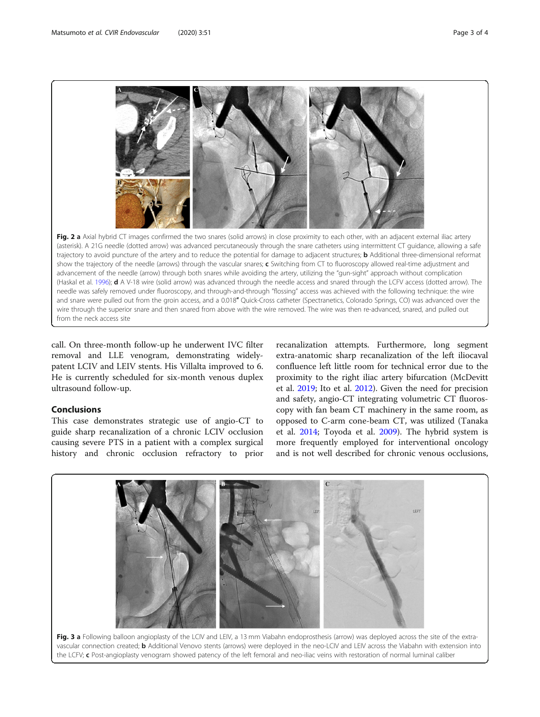<span id="page-2-0"></span>

call. On three-month follow-up he underwent IVC filter removal and LLE venogram, demonstrating widelypatent LCIV and LEIV stents. His Villalta improved to 6. He is currently scheduled for six-month venous duplex ultrasound follow-up.

# Conclusions

This case demonstrates strategic use of angio-CT to guide sharp recanalization of a chronic LCIV occlusion causing severe PTS in a patient with a complex surgical history and chronic occlusion refractory to prior

recanalization attempts. Furthermore, long segment extra-anatomic sharp recanalization of the left iliocaval confluence left little room for technical error due to the proximity to the right iliac artery bifurcation (McDevitt et al. [2019;](#page-3-0) Ito et al. [2012](#page-3-0)). Given the need for precision and safety, angio-CT integrating volumetric CT fluoroscopy with fan beam CT machinery in the same room, as opposed to C-arm cone-beam CT, was utilized (Tanaka et al. [2014](#page-3-0); Toyoda et al. [2009](#page-3-0)). The hybrid system is more frequently employed for interventional oncology and is not well described for chronic venous occlusions,



vascular connection created; b Additional Venovo stents (arrows) were deployed in the neo-LCIV and LEIV across the Viabahn with extension into the LCFV; c Post-angioplasty venogram showed patency of the left femoral and neo-iliac veins with restoration of normal luminal caliber